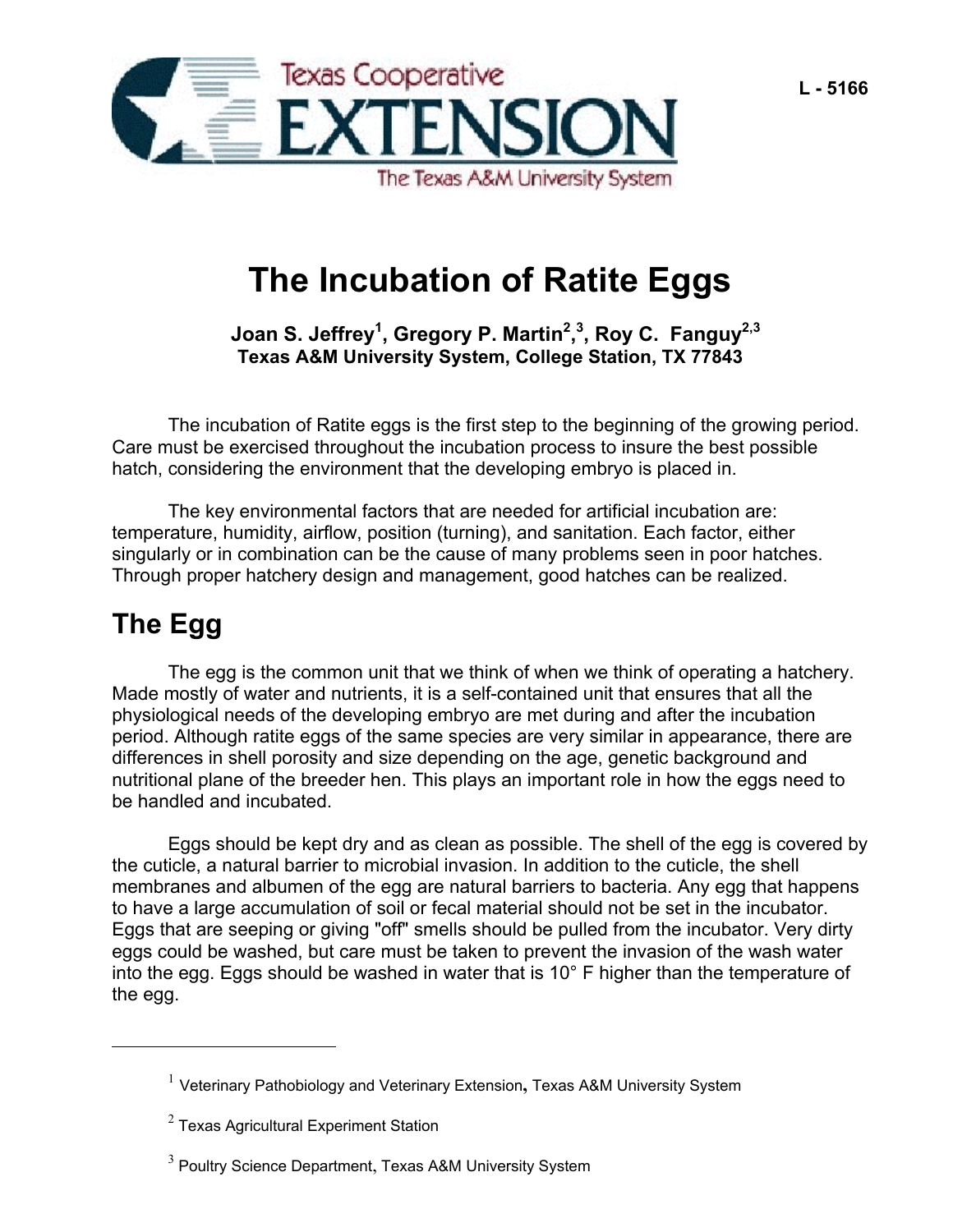

# **The Incubation of Ratite Eggs**

Joan S. Jeffrey<sup>[1](#page-0-0)</sup>, Gregory P. Martin<sup>[2](#page-0-1)</sup>,<sup>[3](#page-0-2)</sup>, Roy C. Fanguy<sup>2,3</sup> **Texas A&M University System, College Station, TX 77843**

The incubation of Ratite eggs is the first step to the beginning of the growing period. Care must be exercised throughout the incubation process to insure the best possible hatch, considering the environment that the developing embryo is placed in.

The key environmental factors that are needed for artificial incubation are: temperature, humidity, airflow, position (turning), and sanitation. Each factor, either singularly or in combination can be the cause of many problems seen in poor hatches. Through proper hatchery design and management, good hatches can be realized.

# **The Egg**

 $\overline{a}$ 

The egg is the common unit that we think of when we think of operating a hatchery. Made mostly of water and nutrients, it is a self-contained unit that ensures that all the physiological needs of the developing embryo are met during and after the incubation period. Although ratite eggs of the same species are very similar in appearance, there are differences in shell porosity and size depending on the age, genetic background and nutritional plane of the breeder hen. This plays an important role in how the eggs need to be handled and incubated.

Eggs should be kept dry and as clean as possible. The shell of the egg is covered by the cuticle, a natural barrier to microbial invasion. In addition to the cuticle, the shell membranes and albumen of the egg are natural barriers to bacteria. Any egg that happens to have a large accumulation of soil or fecal material should not be set in the incubator. Eggs that are seeping or giving "off" smells should be pulled from the incubator. Very dirty eggs could be washed, but care must be taken to prevent the invasion of the wash water into the egg. Eggs should be washed in water that is 10° F higher than the temperature of the egg.

<span id="page-0-0"></span><sup>1</sup> Veterinary Pathobiology and Veterinary Extension**,** Texas A&M University System

<span id="page-0-1"></span> $^{\rm 2}$  Texas Agricultural Experiment Station

<span id="page-0-2"></span> $^3$  Poultry Science Department, Texas A&M University System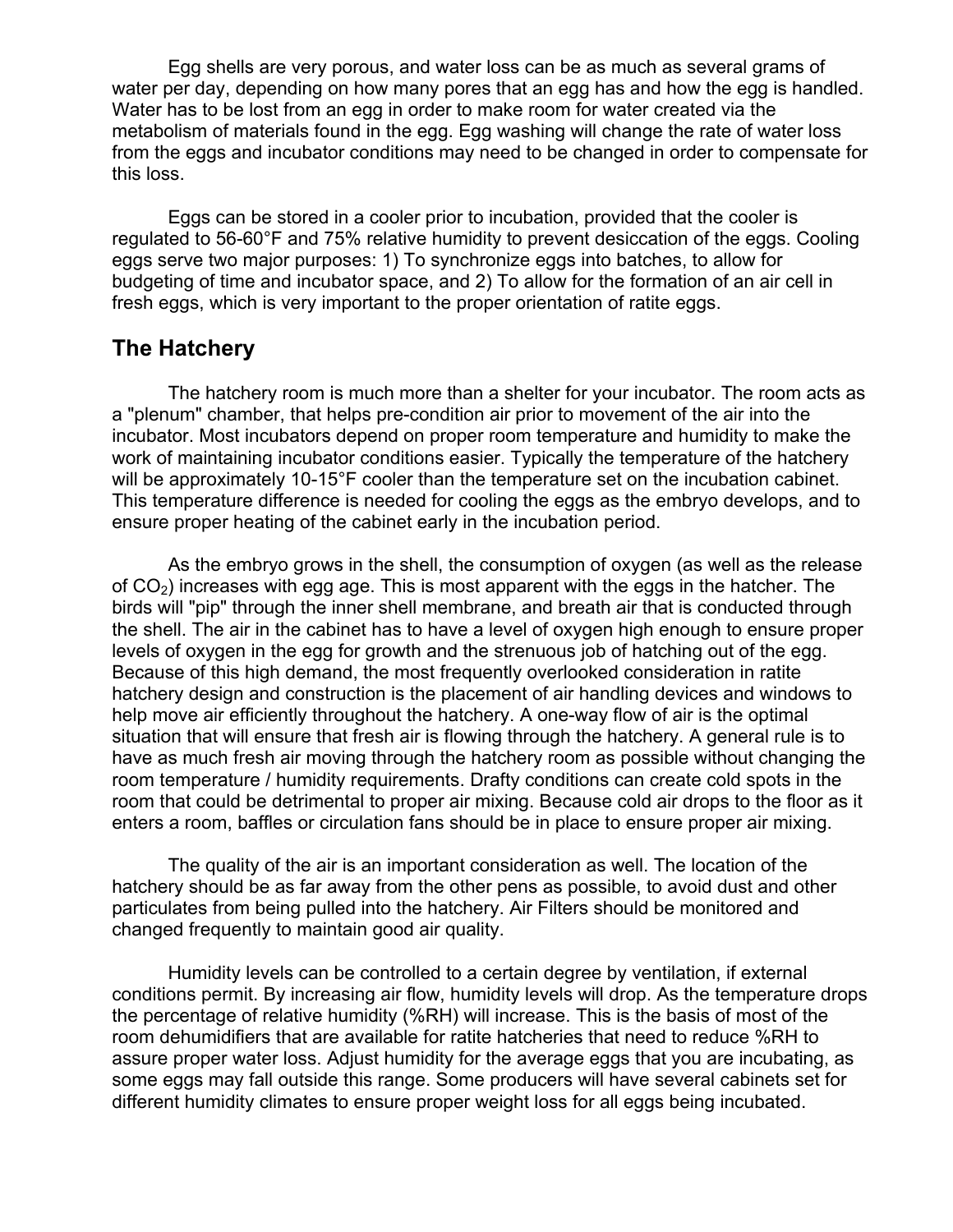Egg shells are very porous, and water loss can be as much as several grams of water per day, depending on how many pores that an egg has and how the egg is handled. Water has to be lost from an egg in order to make room for water created via the metabolism of materials found in the egg. Egg washing will change the rate of water loss from the eggs and incubator conditions may need to be changed in order to compensate for this loss.

 Eggs can be stored in a cooler prior to incubation, provided that the cooler is regulated to 56-60°F and 75% relative humidity to prevent desiccation of the eggs. Cooling eggs serve two major purposes: 1) To synchronize eggs into batches, to allow for budgeting of time and incubator space, and 2) To allow for the formation of an air cell in fresh eggs, which is very important to the proper orientation of ratite eggs.

#### **The Hatchery**

 The hatchery room is much more than a shelter for your incubator. The room acts as a "plenum" chamber, that helps pre-condition air prior to movement of the air into the incubator. Most incubators depend on proper room temperature and humidity to make the work of maintaining incubator conditions easier. Typically the temperature of the hatchery will be approximately 10-15°F cooler than the temperature set on the incubation cabinet. This temperature difference is needed for cooling the eggs as the embryo develops, and to ensure proper heating of the cabinet early in the incubation period.

 As the embryo grows in the shell, the consumption of oxygen (as well as the release of  $CO<sub>2</sub>$ ) increases with egg age. This is most apparent with the eggs in the hatcher. The birds will "pip" through the inner shell membrane, and breath air that is conducted through the shell. The air in the cabinet has to have a level of oxygen high enough to ensure proper levels of oxygen in the egg for growth and the strenuous job of hatching out of the egg. Because of this high demand, the most frequently overlooked consideration in ratite hatchery design and construction is the placement of air handling devices and windows to help move air efficiently throughout the hatchery. A one-way flow of air is the optimal situation that will ensure that fresh air is flowing through the hatchery. A general rule is to have as much fresh air moving through the hatchery room as possible without changing the room temperature / humidity requirements. Drafty conditions can create cold spots in the room that could be detrimental to proper air mixing. Because cold air drops to the floor as it enters a room, baffles or circulation fans should be in place to ensure proper air mixing.

 The quality of the air is an important consideration as well. The location of the hatchery should be as far away from the other pens as possible, to avoid dust and other particulates from being pulled into the hatchery. Air Filters should be monitored and changed frequently to maintain good air quality.

 Humidity levels can be controlled to a certain degree by ventilation, if external conditions permit. By increasing air flow, humidity levels will drop. As the temperature drops the percentage of relative humidity (%RH) will increase. This is the basis of most of the room dehumidifiers that are available for ratite hatcheries that need to reduce %RH to assure proper water loss. Adjust humidity for the average eggs that you are incubating, as some eggs may fall outside this range. Some producers will have several cabinets set for different humidity climates to ensure proper weight loss for all eggs being incubated.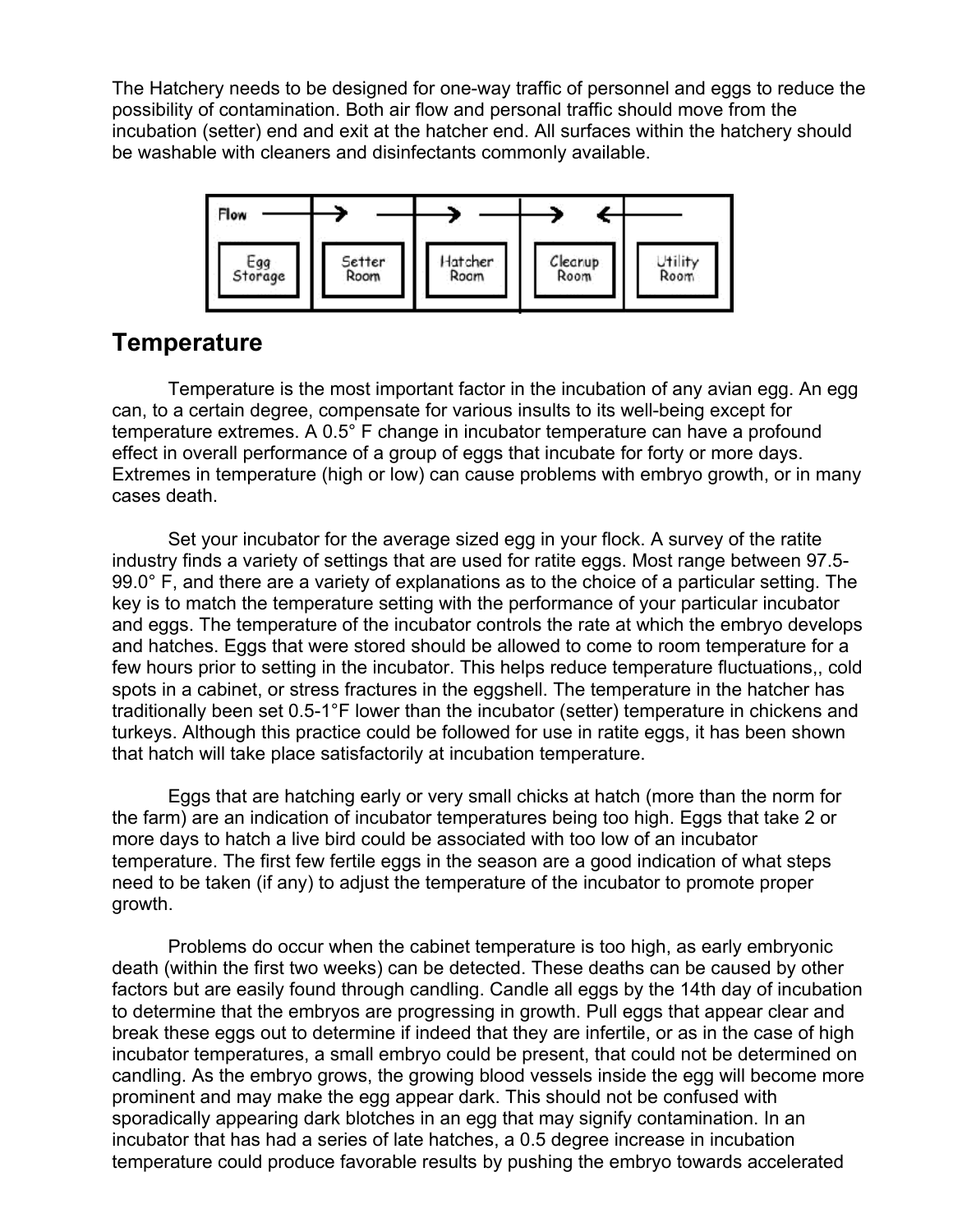The Hatchery needs to be designed for one-way traffic of personnel and eggs to reduce the possibility of contamination. Both air flow and personal traffic should move from the incubation (setter) end and exit at the hatcher end. All surfaces within the hatchery should be washable with cleaners and disinfectants commonly available.



## **Temperature**

Temperature is the most important factor in the incubation of any avian egg. An egg can, to a certain degree, compensate for various insults to its well-being except for temperature extremes. A 0.5° F change in incubator temperature can have a profound effect in overall performance of a group of eggs that incubate for forty or more days. Extremes in temperature (high or low) can cause problems with embryo growth, or in many cases death.

Set your incubator for the average sized egg in your flock. A survey of the ratite industry finds a variety of settings that are used for ratite eggs. Most range between 97.5- 99.0° F, and there are a variety of explanations as to the choice of a particular setting. The key is to match the temperature setting with the performance of your particular incubator and eggs. The temperature of the incubator controls the rate at which the embryo develops and hatches. Eggs that were stored should be allowed to come to room temperature for a few hours prior to setting in the incubator. This helps reduce temperature fluctuations,, cold spots in a cabinet, or stress fractures in the eggshell. The temperature in the hatcher has traditionally been set 0.5-1°F lower than the incubator (setter) temperature in chickens and turkeys. Although this practice could be followed for use in ratite eggs, it has been shown that hatch will take place satisfactorily at incubation temperature.

Eggs that are hatching early or very small chicks at hatch (more than the norm for the farm) are an indication of incubator temperatures being too high. Eggs that take 2 or more days to hatch a live bird could be associated with too low of an incubator temperature. The first few fertile eggs in the season are a good indication of what steps need to be taken (if any) to adjust the temperature of the incubator to promote proper growth.

Problems do occur when the cabinet temperature is too high, as early embryonic death (within the first two weeks) can be detected. These deaths can be caused by other factors but are easily found through candling. Candle all eggs by the 14th day of incubation to determine that the embryos are progressing in growth. Pull eggs that appear clear and break these eggs out to determine if indeed that they are infertile, or as in the case of high incubator temperatures, a small embryo could be present, that could not be determined on candling. As the embryo grows, the growing blood vessels inside the egg will become more prominent and may make the egg appear dark. This should not be confused with sporadically appearing dark blotches in an egg that may signify contamination. In an incubator that has had a series of late hatches, a 0.5 degree increase in incubation temperature could produce favorable results by pushing the embryo towards accelerated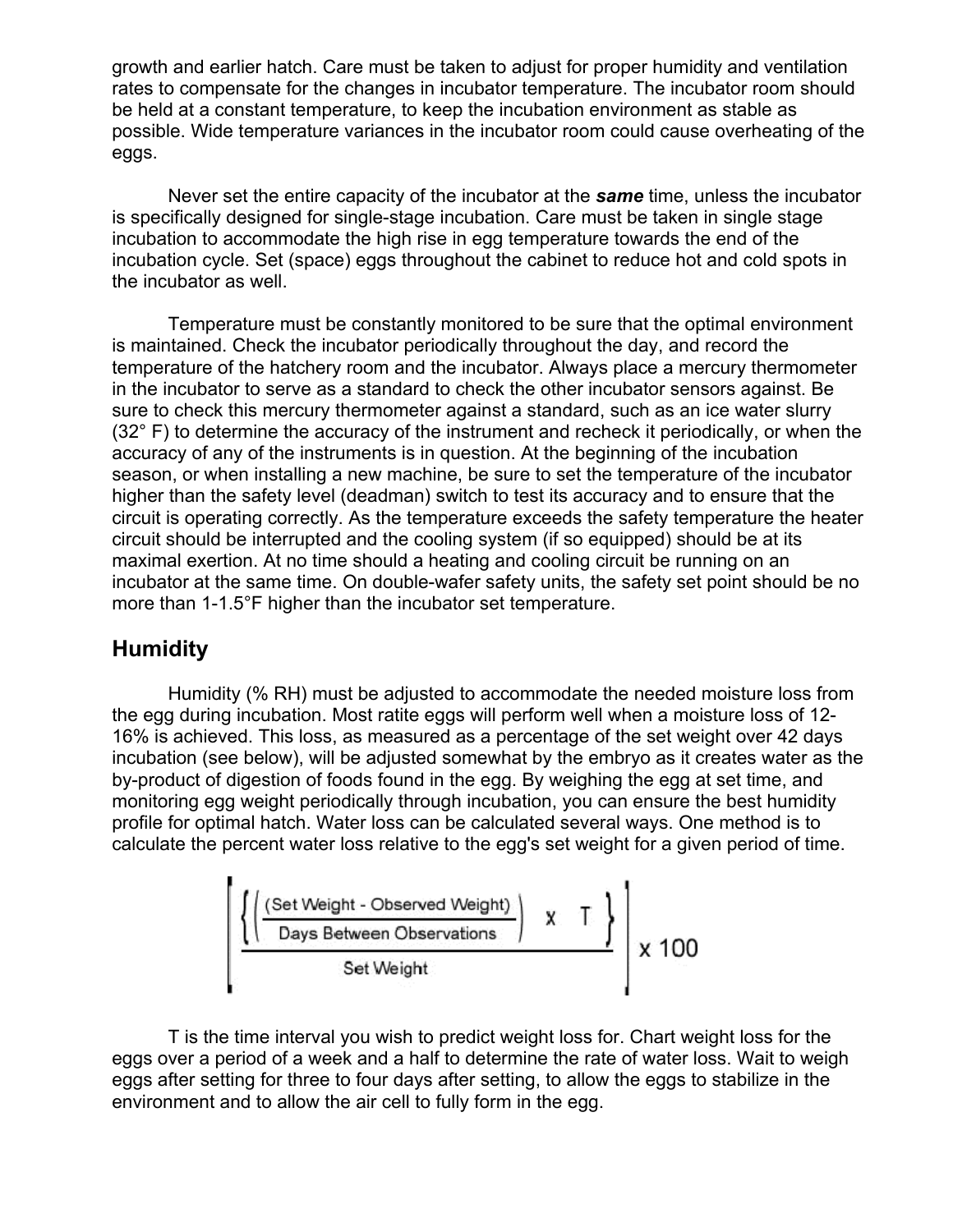growth and earlier hatch. Care must be taken to adjust for proper humidity and ventilation rates to compensate for the changes in incubator temperature. The incubator room should be held at a constant temperature, to keep the incubation environment as stable as possible. Wide temperature variances in the incubator room could cause overheating of the eggs.

Never set the entire capacity of the incubator at the *same* time, unless the incubator is specifically designed for single-stage incubation. Care must be taken in single stage incubation to accommodate the high rise in egg temperature towards the end of the incubation cycle. Set (space) eggs throughout the cabinet to reduce hot and cold spots in the incubator as well.

Temperature must be constantly monitored to be sure that the optimal environment is maintained. Check the incubator periodically throughout the day, and record the temperature of the hatchery room and the incubator. Always place a mercury thermometer in the incubator to serve as a standard to check the other incubator sensors against. Be sure to check this mercury thermometer against a standard, such as an ice water slurry (32° F) to determine the accuracy of the instrument and recheck it periodically, or when the accuracy of any of the instruments is in question. At the beginning of the incubation season, or when installing a new machine, be sure to set the temperature of the incubator higher than the safety level (deadman) switch to test its accuracy and to ensure that the circuit is operating correctly. As the temperature exceeds the safety temperature the heater circuit should be interrupted and the cooling system (if so equipped) should be at its maximal exertion. At no time should a heating and cooling circuit be running on an incubator at the same time. On double-wafer safety units, the safety set point should be no more than 1-1.5°F higher than the incubator set temperature.

### **Humidity**

Humidity (% RH) must be adjusted to accommodate the needed moisture loss from the egg during incubation. Most ratite eggs will perform well when a moisture loss of 12- 16% is achieved. This loss, as measured as a percentage of the set weight over 42 days incubation (see below), will be adjusted somewhat by the embryo as it creates water as the by-product of digestion of foods found in the egg. By weighing the egg at set time, and monitoring egg weight periodically through incubation, you can ensure the best humidity profile for optimal hatch. Water loss can be calculated several ways. One method is to calculate the percent water loss relative to the egg's set weight for a given period of time.



T is the time interval you wish to predict weight loss for. Chart weight loss for the eggs over a period of a week and a half to determine the rate of water loss. Wait to weigh eggs after setting for three to four days after setting, to allow the eggs to stabilize in the environment and to allow the air cell to fully form in the egg.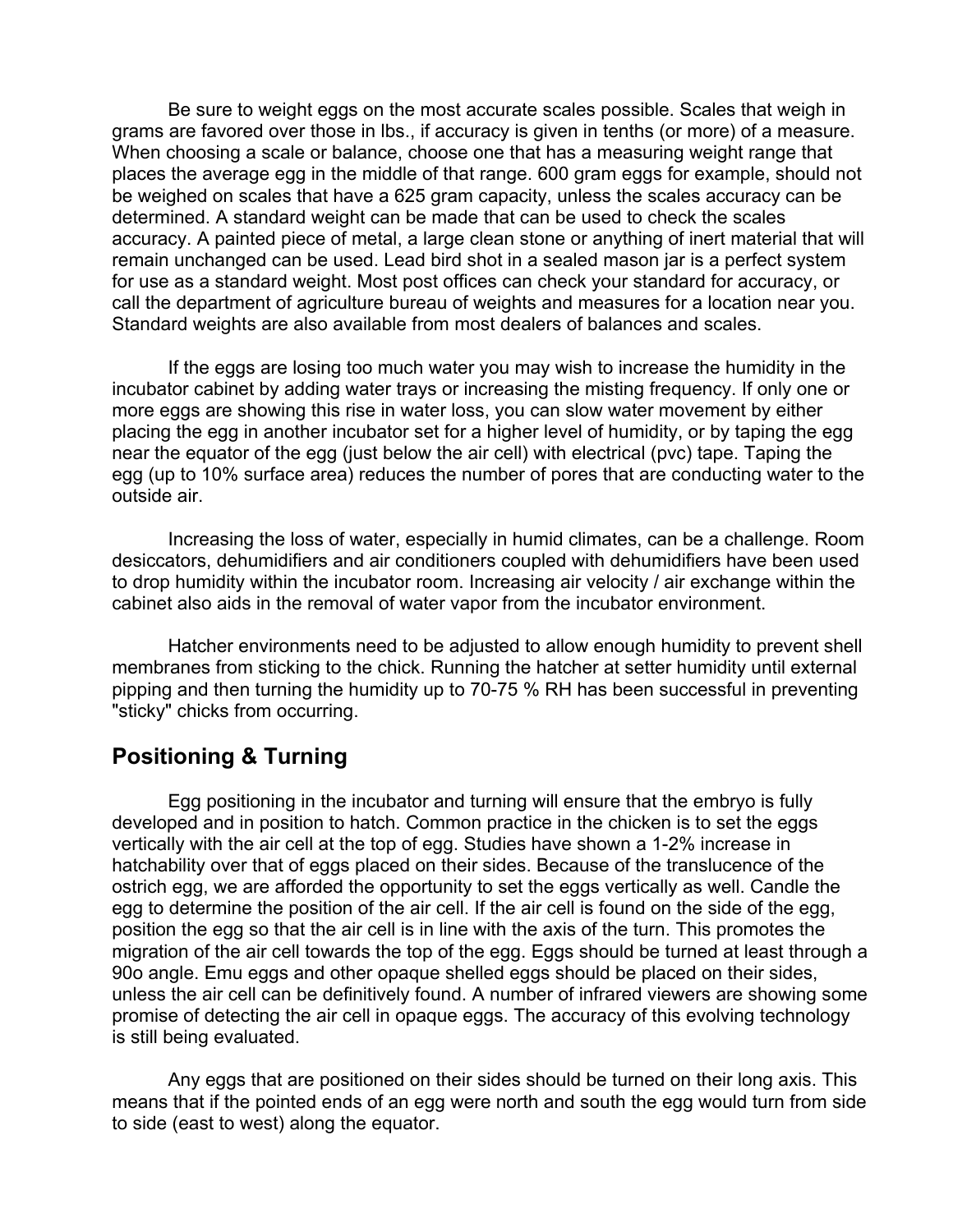Be sure to weight eggs on the most accurate scales possible. Scales that weigh in grams are favored over those in lbs., if accuracy is given in tenths (or more) of a measure. When choosing a scale or balance, choose one that has a measuring weight range that places the average egg in the middle of that range. 600 gram eggs for example, should not be weighed on scales that have a 625 gram capacity, unless the scales accuracy can be determined. A standard weight can be made that can be used to check the scales accuracy. A painted piece of metal, a large clean stone or anything of inert material that will remain unchanged can be used. Lead bird shot in a sealed mason jar is a perfect system for use as a standard weight. Most post offices can check your standard for accuracy, or call the department of agriculture bureau of weights and measures for a location near you. Standard weights are also available from most dealers of balances and scales.

 If the eggs are losing too much water you may wish to increase the humidity in the incubator cabinet by adding water trays or increasing the misting frequency. If only one or more eggs are showing this rise in water loss, you can slow water movement by either placing the egg in another incubator set for a higher level of humidity, or by taping the egg near the equator of the egg (just below the air cell) with electrical (pvc) tape. Taping the egg (up to 10% surface area) reduces the number of pores that are conducting water to the outside air.

 Increasing the loss of water, especially in humid climates, can be a challenge. Room desiccators, dehumidifiers and air conditioners coupled with dehumidifiers have been used to drop humidity within the incubator room. Increasing air velocity / air exchange within the cabinet also aids in the removal of water vapor from the incubator environment.

 Hatcher environments need to be adjusted to allow enough humidity to prevent shell membranes from sticking to the chick. Running the hatcher at setter humidity until external pipping and then turning the humidity up to 70-75 % RH has been successful in preventing "sticky" chicks from occurring.

### **Positioning & Turning**

 Egg positioning in the incubator and turning will ensure that the embryo is fully developed and in position to hatch. Common practice in the chicken is to set the eggs vertically with the air cell at the top of egg. Studies have shown a 1-2% increase in hatchability over that of eggs placed on their sides. Because of the translucence of the ostrich egg, we are afforded the opportunity to set the eggs vertically as well. Candle the egg to determine the position of the air cell. If the air cell is found on the side of the egg, position the egg so that the air cell is in line with the axis of the turn. This promotes the migration of the air cell towards the top of the egg. Eggs should be turned at least through a 90o angle. Emu eggs and other opaque shelled eggs should be placed on their sides, unless the air cell can be definitively found. A number of infrared viewers are showing some promise of detecting the air cell in opaque eggs. The accuracy of this evolving technology is still being evaluated.

 Any eggs that are positioned on their sides should be turned on their long axis. This means that if the pointed ends of an egg were north and south the egg would turn from side to side (east to west) along the equator.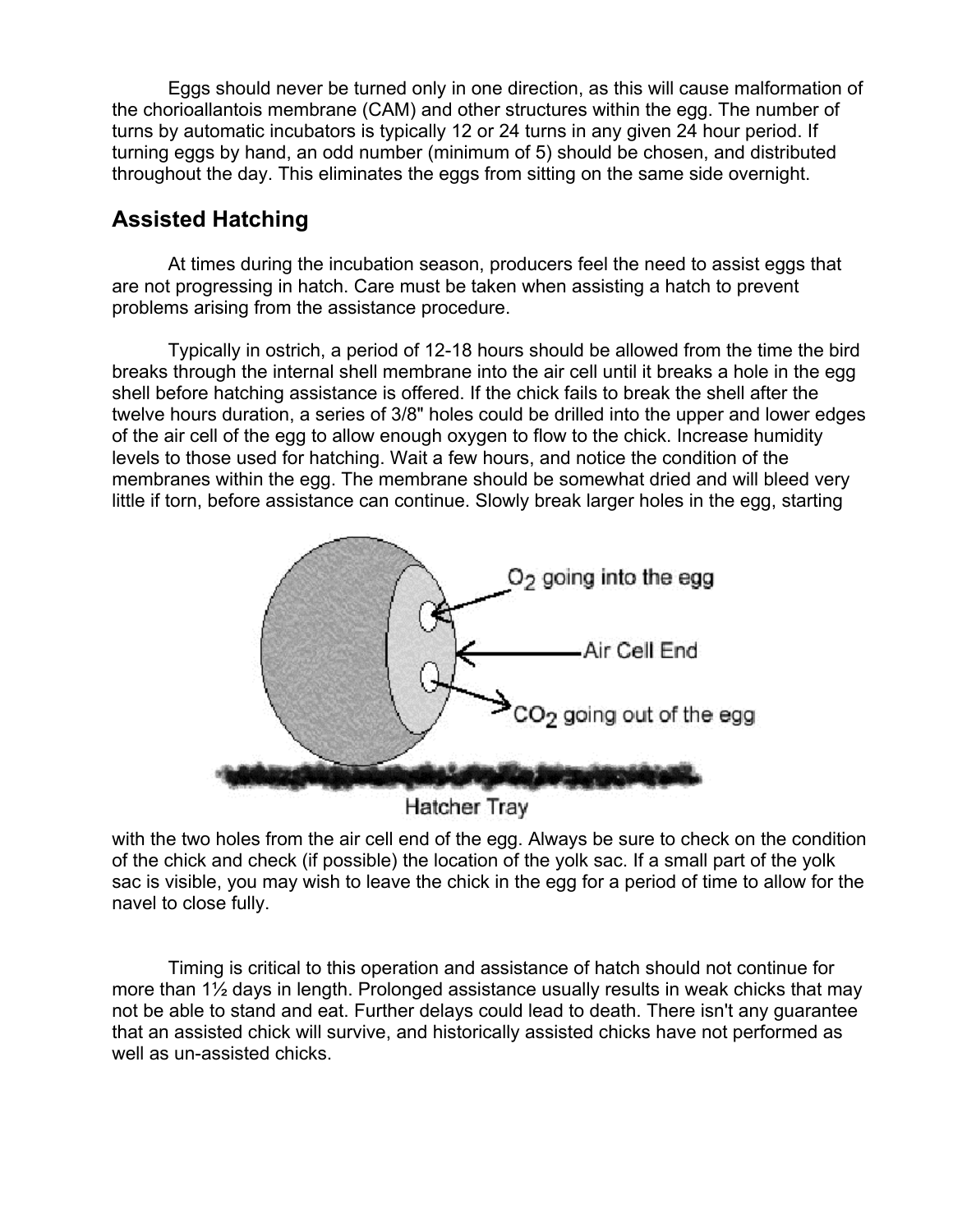Eggs should never be turned only in one direction, as this will cause malformation of the chorioallantois membrane (CAM) and other structures within the egg. The number of turns by automatic incubators is typically 12 or 24 turns in any given 24 hour period. If turning eggs by hand, an odd number (minimum of 5) should be chosen, and distributed throughout the day. This eliminates the eggs from sitting on the same side overnight.

## **Assisted Hatching**

At times during the incubation season, producers feel the need to assist eggs that are not progressing in hatch. Care must be taken when assisting a hatch to prevent problems arising from the assistance procedure.

Typically in ostrich, a period of 12-18 hours should be allowed from the time the bird breaks through the internal shell membrane into the air cell until it breaks a hole in the egg shell before hatching assistance is offered. If the chick fails to break the shell after the twelve hours duration, a series of 3/8" holes could be drilled into the upper and lower edges of the air cell of the egg to allow enough oxygen to flow to the chick. Increase humidity levels to those used for hatching. Wait a few hours, and notice the condition of the membranes within the egg. The membrane should be somewhat dried and will bleed very little if torn, before assistance can continue. Slowly break larger holes in the egg, starting



**Hatcher Tray** 

with the two holes from the air cell end of the egg. Always be sure to check on the condition of the chick and check (if possible) the location of the yolk sac. If a small part of the yolk sac is visible, you may wish to leave the chick in the egg for a period of time to allow for the navel to close fully.

Timing is critical to this operation and assistance of hatch should not continue for more than 1½ days in length. Prolonged assistance usually results in weak chicks that may not be able to stand and eat. Further delays could lead to death. There isn't any guarantee that an assisted chick will survive, and historically assisted chicks have not performed as well as un-assisted chicks.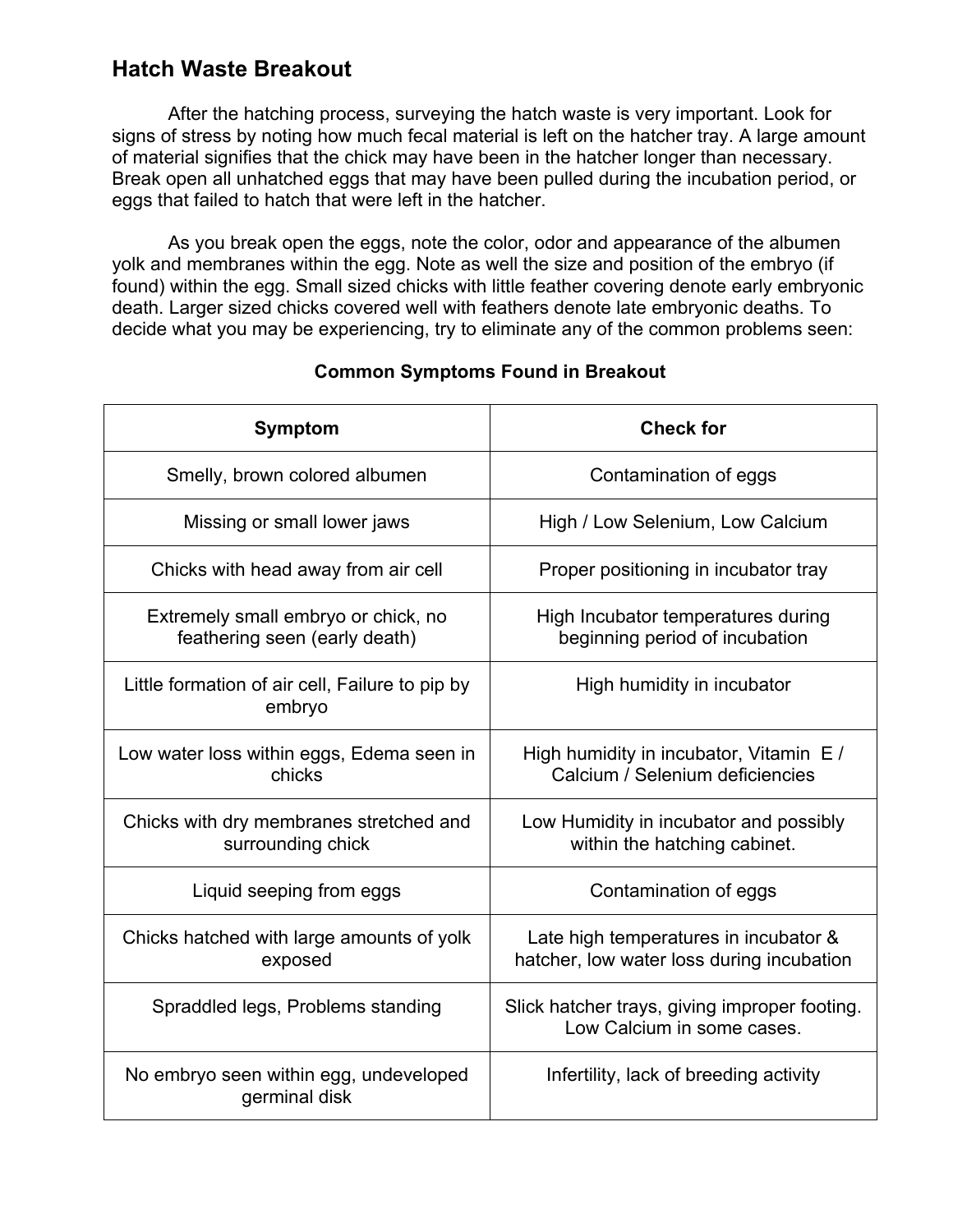## **Hatch Waste Breakout**

 After the hatching process, surveying the hatch waste is very important. Look for signs of stress by noting how much fecal material is left on the hatcher tray. A large amount of material signifies that the chick may have been in the hatcher longer than necessary. Break open all unhatched eggs that may have been pulled during the incubation period, or eggs that failed to hatch that were left in the hatcher.

 As you break open the eggs, note the color, odor and appearance of the albumen yolk and membranes within the egg. Note as well the size and position of the embryo (if found) within the egg. Small sized chicks with little feather covering denote early embryonic death. Larger sized chicks covered well with feathers denote late embryonic deaths. To decide what you may be experiencing, try to eliminate any of the common problems seen:

| <b>Symptom</b>                                                       | <b>Check for</b>                                                                   |
|----------------------------------------------------------------------|------------------------------------------------------------------------------------|
| Smelly, brown colored albumen                                        | Contamination of eggs                                                              |
| Missing or small lower jaws                                          | High / Low Selenium, Low Calcium                                                   |
| Chicks with head away from air cell                                  | Proper positioning in incubator tray                                               |
| Extremely small embryo or chick, no<br>feathering seen (early death) | High Incubator temperatures during<br>beginning period of incubation               |
| Little formation of air cell, Failure to pip by<br>embryo            | High humidity in incubator                                                         |
| Low water loss within eggs, Edema seen in<br>chicks                  | High humidity in incubator, Vitamin E /<br>Calcium / Selenium deficiencies         |
| Chicks with dry membranes stretched and<br>surrounding chick         | Low Humidity in incubator and possibly<br>within the hatching cabinet.             |
| Liquid seeping from eggs                                             | Contamination of eggs                                                              |
| Chicks hatched with large amounts of yolk<br>exposed                 | Late high temperatures in incubator &<br>hatcher, low water loss during incubation |
| Spraddled legs, Problems standing                                    | Slick hatcher trays, giving improper footing.<br>Low Calcium in some cases.        |
| No embryo seen within egg, undeveloped<br>germinal disk              | Infertility, lack of breeding activity                                             |

#### **Common Symptoms Found in Breakout**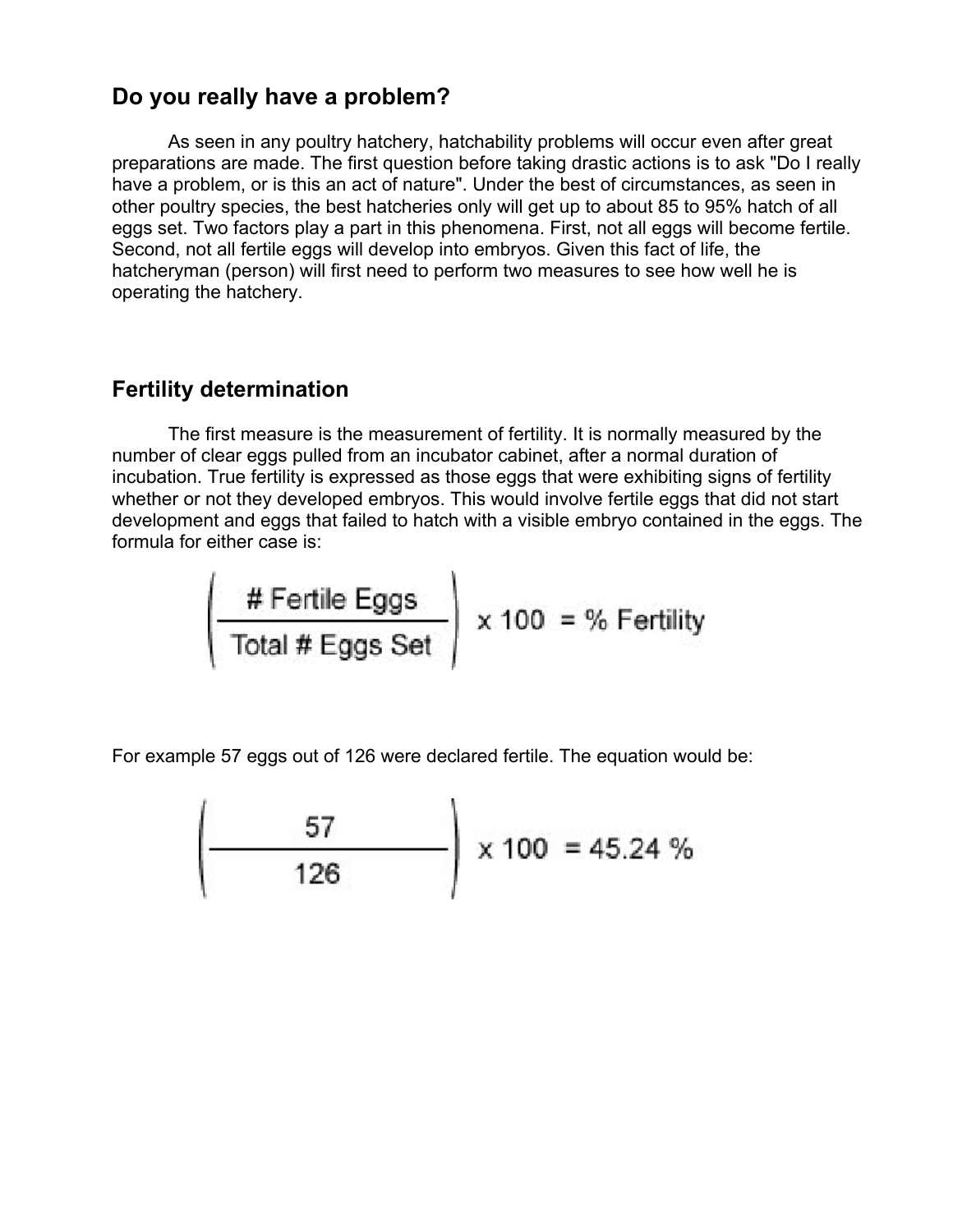### **Do you really have a problem?**

As seen in any poultry hatchery, hatchability problems will occur even after great preparations are made. The first question before taking drastic actions is to ask "Do I really have a problem, or is this an act of nature". Under the best of circumstances, as seen in other poultry species, the best hatcheries only will get up to about 85 to 95% hatch of all eggs set. Two factors play a part in this phenomena. First, not all eggs will become fertile. Second, not all fertile eggs will develop into embryos. Given this fact of life, the hatcheryman (person) will first need to perform two measures to see how well he is operating the hatchery.

#### **Fertility determination**

The first measure is the measurement of fertility. It is normally measured by the number of clear eggs pulled from an incubator cabinet, after a normal duration of incubation. True fertility is expressed as those eggs that were exhibiting signs of fertility whether or not they developed embryos. This would involve fertile eggs that did not start development and eggs that failed to hatch with a visible embryo contained in the eggs. The formula for either case is:

$$
\left(\begin{array}{c}\n\text{# Fertile Eggs} \\
\hline\n\text{Total # Eggs Set}\n\end{array}\right) \times 100 = % Fertility
$$

For example 57 eggs out of 126 were declared fertile. The equation would be:

$$
\left(\frac{57}{126}\right) \times 100 = 45.24\%
$$